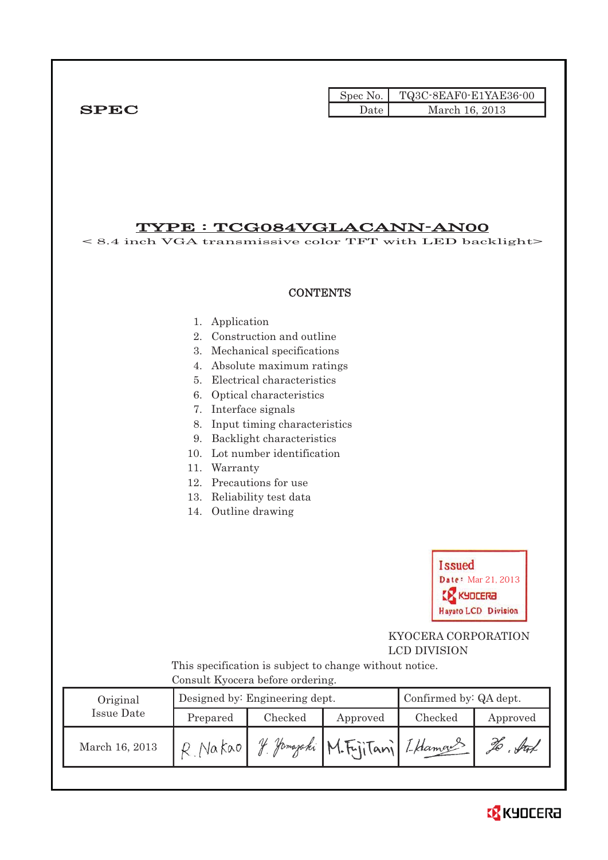|             |      | Spec No. TQ3C-8EAF0-E1YAE36-00 |
|-------------|------|--------------------------------|
| <b>SPEC</b> | Date | March 16, 2013                 |

#### TYPE : TCG084VGLACANN-AN00 < 8.4 inch VGA transmissive color TFT with LED backlight>

**CONTENTS** 1. Application 2. Construction and outline 3. Mechanical specifications 4. Absolute maximum ratings 5. Electrical characteristics 6. Optical characteristics 7. Interface signals 8. Input timing characteristics 9. Backlight characteristics 10. Lot number identification 11. Warranty 12. Precautions for use 13. Reliability test data 14. Outline drawing **Issued** Date: Mar 21, 2013 **X** KYDCERA **Havato LCD Division**  KYOCERA CORPORATION LCD DIVISION This specification is subject to change without notice. Consult Kyocera before ordering. Original Designed by: Engineering dept. Confirmed by: QA dept. Issue Date Prepared Checked Approved Checked Approved March 16, 2013 R. Nakao Y. *Jamajahi* M. Fujitani I. Hamas To . Sut

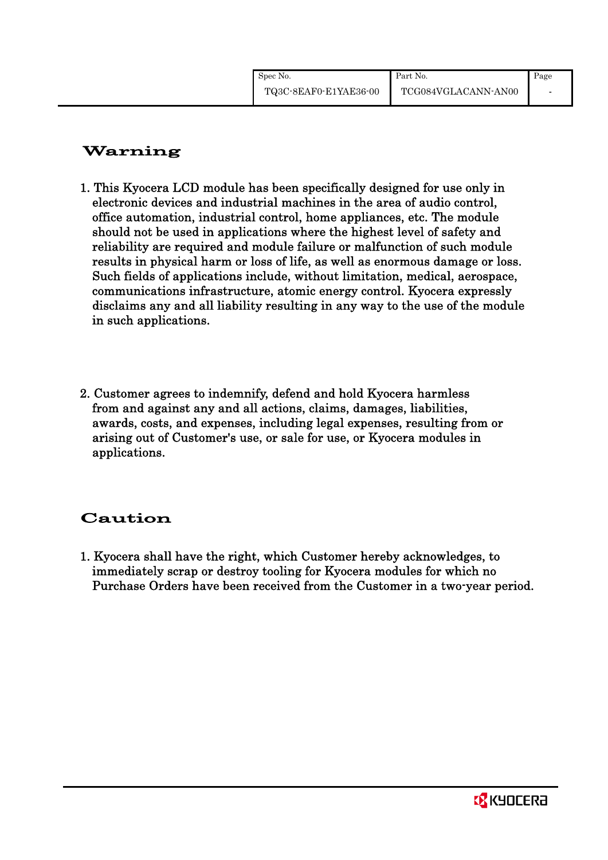# Warning

- 1. This Kyocera LCD module has been specifically designed for use only in electronic devices and industrial machines in the area of audio control, office automation, industrial control, home appliances, etc. The module should not be used in applications where the highest level of safety and reliability are required and module failure or malfunction of such module results in physical harm or loss of life, as well as enormous damage or loss. Such fields of applications include, without limitation, medical, aerospace, communications infrastructure, atomic energy control. Kyocera expressly disclaims any and all liability resulting in any way to the use of the module in such applications.
- 2. Customer agrees to indemnify, defend and hold Kyocera harmless from and against any and all actions, claims, damages, liabilities, awards, costs, and expenses, including legal expenses, resulting from or arising out of Customer's use, or sale for use, or Kyocera modules in applications.

# Caution

1. Kyocera shall have the right, which Customer hereby acknowledges, to immediately scrap or destroy tooling for Kyocera modules for which no Purchase Orders have been received from the Customer in a two-year period.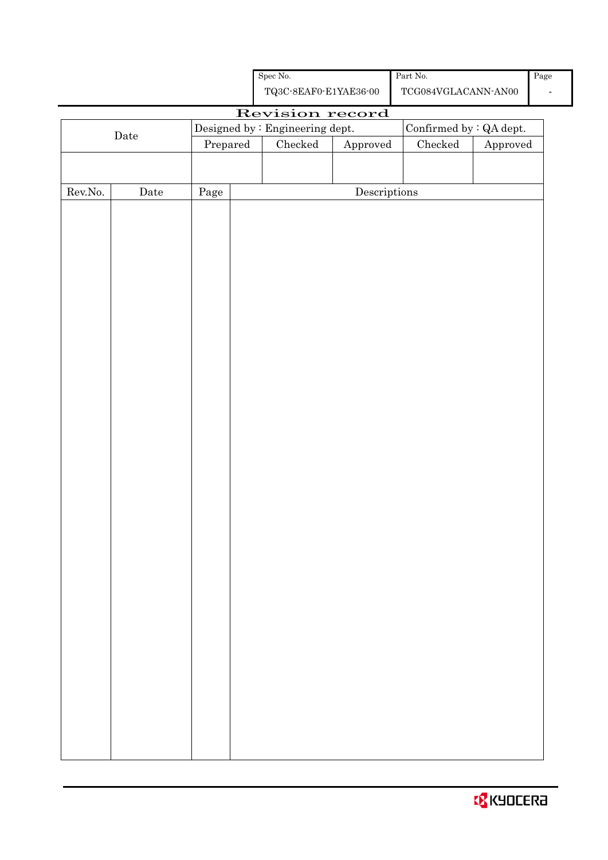|                  |                       |                                                            |  | ${\bf TQ3C\text{-}SEAF0\text{-}E1YAE36\text{-}00}$ |                                      | $\operatorname{TCG084VGLACANN\text{-}ANO0}$ |          |  |
|------------------|-----------------------|------------------------------------------------------------|--|----------------------------------------------------|--------------------------------------|---------------------------------------------|----------|--|
|                  | Revision record       |                                                            |  |                                                    |                                      |                                             |          |  |
|                  | ${\rm \textbf{Date}}$ | Confirmed by : QA dept.<br>Designed by : Engineering dept. |  |                                                    |                                      |                                             |          |  |
|                  |                       | Prepared                                                   |  | ${\it Checked}$                                    | Approved                             | $\rm Checked$                               | Approved |  |
|                  |                       |                                                            |  |                                                    |                                      |                                             |          |  |
|                  |                       |                                                            |  |                                                    |                                      |                                             |          |  |
| ${\rm Rev. No.}$ | $\rm{Date}$           | $\rm Page$                                                 |  |                                                    | $\label{eq:2} \textbf{Descriptions}$ |                                             |          |  |
|                  |                       |                                                            |  |                                                    |                                      |                                             |          |  |
|                  |                       |                                                            |  |                                                    |                                      |                                             |          |  |
|                  |                       |                                                            |  |                                                    |                                      |                                             |          |  |
|                  |                       |                                                            |  |                                                    |                                      |                                             |          |  |
|                  |                       |                                                            |  |                                                    |                                      |                                             |          |  |
|                  |                       |                                                            |  |                                                    |                                      |                                             |          |  |
|                  |                       |                                                            |  |                                                    |                                      |                                             |          |  |
|                  |                       |                                                            |  |                                                    |                                      |                                             |          |  |
|                  |                       |                                                            |  |                                                    |                                      |                                             |          |  |
|                  |                       |                                                            |  |                                                    |                                      |                                             |          |  |
|                  |                       |                                                            |  |                                                    |                                      |                                             |          |  |
|                  |                       |                                                            |  |                                                    |                                      |                                             |          |  |
|                  |                       |                                                            |  |                                                    |                                      |                                             |          |  |
|                  |                       |                                                            |  |                                                    |                                      |                                             |          |  |
|                  |                       |                                                            |  |                                                    |                                      |                                             |          |  |
|                  |                       |                                                            |  |                                                    |                                      |                                             |          |  |
|                  |                       |                                                            |  |                                                    |                                      |                                             |          |  |
|                  |                       |                                                            |  |                                                    |                                      |                                             |          |  |
|                  |                       |                                                            |  |                                                    |                                      |                                             |          |  |
|                  |                       |                                                            |  |                                                    |                                      |                                             |          |  |
|                  |                       |                                                            |  |                                                    |                                      |                                             |          |  |
|                  |                       |                                                            |  |                                                    |                                      |                                             |          |  |
|                  |                       |                                                            |  |                                                    |                                      |                                             |          |  |
|                  |                       |                                                            |  |                                                    |                                      |                                             |          |  |
|                  |                       |                                                            |  |                                                    |                                      |                                             |          |  |
|                  |                       |                                                            |  |                                                    |                                      |                                             |          |  |
|                  |                       |                                                            |  |                                                    |                                      |                                             |          |  |
|                  |                       |                                                            |  |                                                    |                                      |                                             |          |  |
|                  |                       |                                                            |  |                                                    |                                      |                                             |          |  |
|                  |                       |                                                            |  |                                                    |                                      |                                             |          |  |
|                  |                       |                                                            |  |                                                    |                                      |                                             |          |  |
|                  |                       |                                                            |  |                                                    |                                      |                                             |          |  |

Spec No.

-

Part No.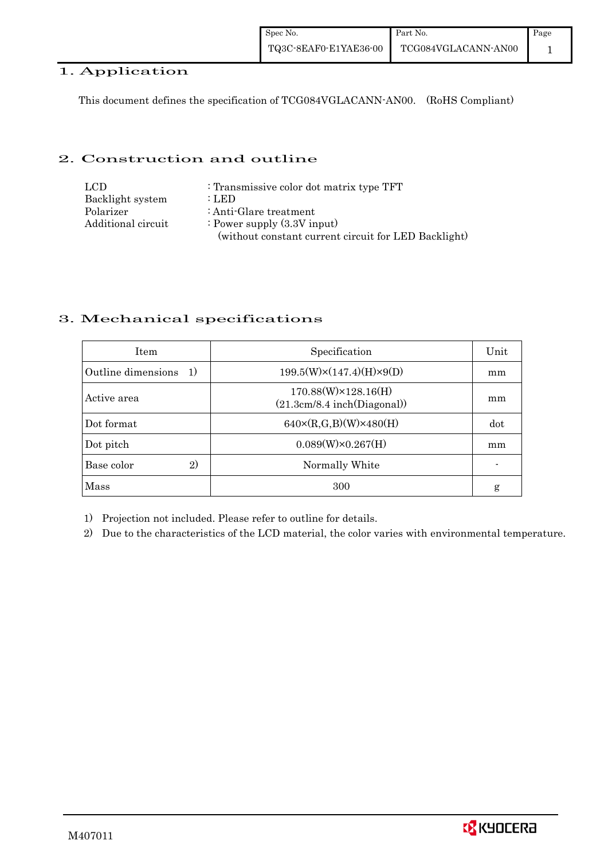#### 1. Application

This document defines the specification of TCG084VGLACANN-AN00. (RoHS Compliant)

#### 2. Construction and outline

| LCD.               | : Transmissive color dot matrix type TFT             |
|--------------------|------------------------------------------------------|
| Backlight system   | : LED                                                |
| Polarizer          | : Anti-Glare treatment                               |
| Additional circuit | : Power supply $(3.3V$ input)                        |
|                    | (without constant current circuit for LED Backlight) |

### 3. Mechanical specifications

| <b>Item</b>                | Specification                                              | Unit |
|----------------------------|------------------------------------------------------------|------|
| Outline dimensions<br>-1)  | $199.5(W)\times(147.4)(H)\times9(D)$                       | mm   |
| Active area                | $170.88(W)\times 128.16(H)$<br>(21.3cm/8.4 inch(Diagonal)) | mm   |
| Dot format                 | $640 \times (R,G,B)(W) \times 480(H)$                      | dot  |
| Dot pitch                  | $0.089(W)\times0.267(H)$                                   | mm   |
| Base color<br>$\mathbf{2}$ | Normally White                                             |      |
| Mass                       | 300                                                        | g    |

1) Projection not included. Please refer to outline for details.

2) Due to the characteristics of the LCD material, the color varies with environmental temperature.

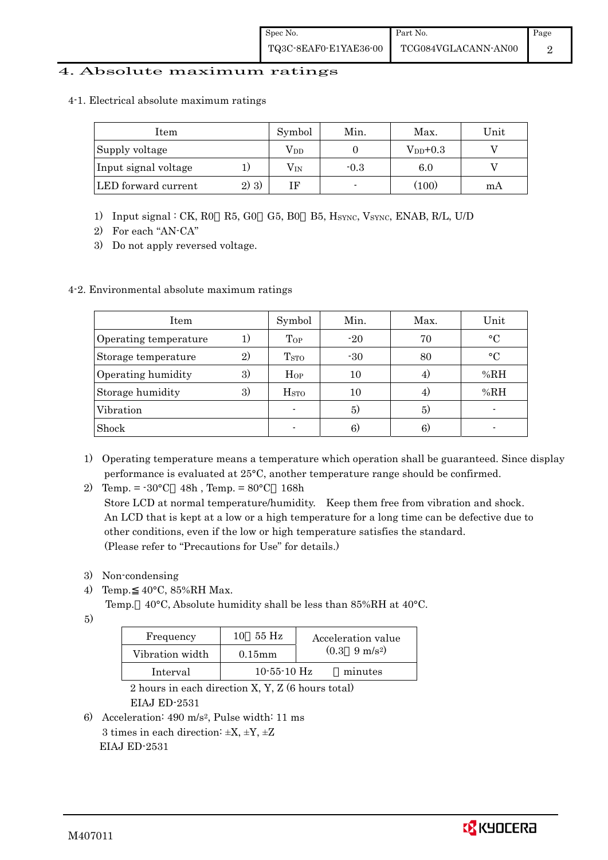#### 4. Absolute maximum ratings

4-1. Electrical absolute maximum ratings

| Item                 |      | Symbol       | Min.   | Max.          | Unit |
|----------------------|------|--------------|--------|---------------|------|
| Supply voltage       |      | $\rm V_{DD}$ |        | $V_{DD}$ +0.3 |      |
| Input signal voltage |      | $\rm V_{IN}$ | $-0.3$ | 6.0           |      |
| LED forward current  | 2)3) | ΙF           |        | (100)         | mА   |

- 1) Input signal : CK, R0 R5, G0 G5, B0 B5, HSYNC, VSYNC, ENAB, R/L, U/D
- 2) For each "AN-CA"
- 3) Do not apply reversed voltage.

#### 4-2. Environmental absolute maximum ratings

| Item                  |    | Symbol                  | Min.  | Max. | Unit      |
|-----------------------|----|-------------------------|-------|------|-----------|
| Operating temperature | 1) | Top                     | $-20$ | 70   | $\circ$ C |
| Storage temperature   | 2) | <b>T</b> <sub>STO</sub> | $-30$ | 80   | $\circ$ C |
| Operating humidity    | 3) | $H_{OP}$                | 10    | 4.   | %RH       |
| Storage humidity      | 3) | $_{\mathrm{HSTO}}$      | 10    | 4.   | %RH       |
| Vibration             |    |                         | 5)    | 5)   |           |
| Shock                 |    |                         | 6)    | 6)   |           |

- 1) Operating temperature means a temperature which operation shall be guaranteed. Since display performance is evaluated at 25°C, another temperature range should be confirmed.
- 2) Temp. =  $-30^{\circ}$ C 48h, Temp. =  $80^{\circ}$ C 168h

 Store LCD at normal temperature/humidity. Keep them free from vibration and shock. An LCD that is kept at a low or a high temperature for a long time can be defective due to other conditions, even if the low or high temperature satisfies the standard. (Please refer to "Precautions for Use" for details.)

- 3) Non-condensing
- 4) Temp. 40°C, 85%RH Max.
	- Temp. 40°C, Absolute humidity shall be less than 85%RH at 40°C.
- 5)

| Frequency       | 55 Hz<br>10       | Acceleration value            |
|-----------------|-------------------|-------------------------------|
| Vibration width | $0.15$ mm         | $(0.3 \quad 9 \text{ m/s}^2)$ |
| Interval        | $10 - 55 - 10$ Hz | minutes                       |

 2 hours in each direction X, Y, Z (6 hours total) EIAJ ED-2531

6) Acceleration: 490 m/s2, Pulse width: 11 ms 3 times in each direction:  $\pm X$ ,  $\pm Y$ ,  $\pm Z$ EIAJ ED-2531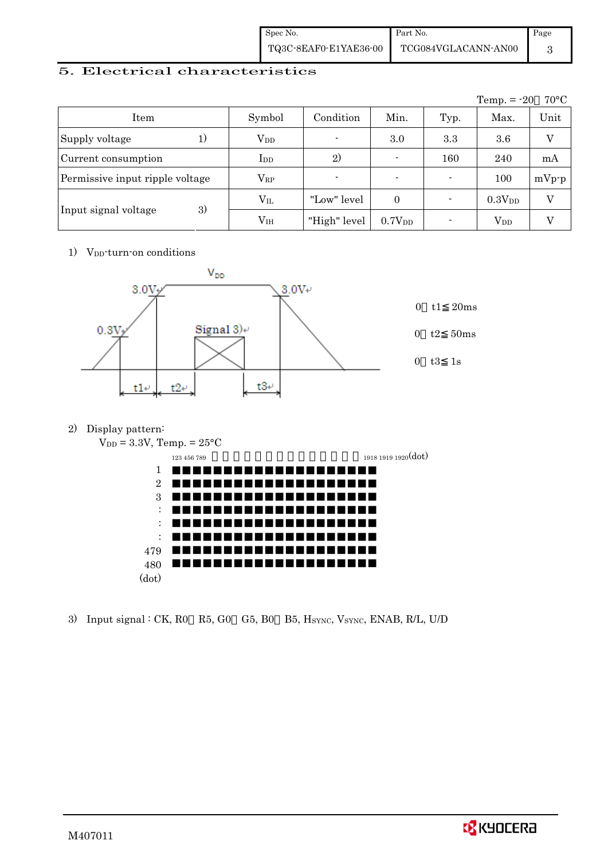| Spec No.              | Part No.            | Page |
|-----------------------|---------------------|------|
| TQ3C-8EAF0-E1YAE36-00 | TCG084VGLACANN-AN00 |      |

 $1918$  1919 1920 $(dot)$ 

### 5. Electrical characteristics

|                                 |                 |                |                    |      | Temp. $= -20$      | $70^{\circ}$ C |
|---------------------------------|-----------------|----------------|--------------------|------|--------------------|----------------|
| Item                            | Symbol          | Condition      | Min.               | Typ. | Max.               | Unit           |
| Supply voltage                  | $V_{DD}$        | $\blacksquare$ | 3.0                | 3.3  | 3.6                | $\rm _V$       |
| Current consumption             | $_{\rm{LDD}}$   | 2)             |                    | 160  | 240                | mA             |
| Permissive input ripple voltage | $\rm V_{RP}$    | $\blacksquare$ |                    |      | 100                | $mVp-p$        |
|                                 | $\rm V_{II}$    | "Low" level    | $\theta$           |      | 0.3V <sub>DD</sub> | V              |
| 3)<br>Input signal voltage      | V <sub>IH</sub> | "High" level   | 0.7V <sub>DD</sub> |      | $\rm V_{DD}$       |                |

1) V<sub>DD</sub>-turn-on conditions



2) Display pattern:

 $V_{DD} = 3.3V$ , Temp. =  $25^{\circ}$ C

| $\overline{\phantom{a}}$  |             |  |  |  |
|---------------------------|-------------|--|--|--|
|                           | 123 456 789 |  |  |  |
| 1                         |             |  |  |  |
| $\overline{2}$            |             |  |  |  |
| 3                         |             |  |  |  |
| ٠<br>$\ddot{\phantom{0}}$ |             |  |  |  |
| ٠<br>٠                    |             |  |  |  |
| ٠<br>$\ddot{\phantom{0}}$ |             |  |  |  |
| 479                       |             |  |  |  |
| $480\,$                   |             |  |  |  |
| (dot)                     |             |  |  |  |
|                           |             |  |  |  |

3) Input signal : CK, R0 R5, G0 G5, B0 B5, HSYNC, VSYNC, ENAB, R/L, U/D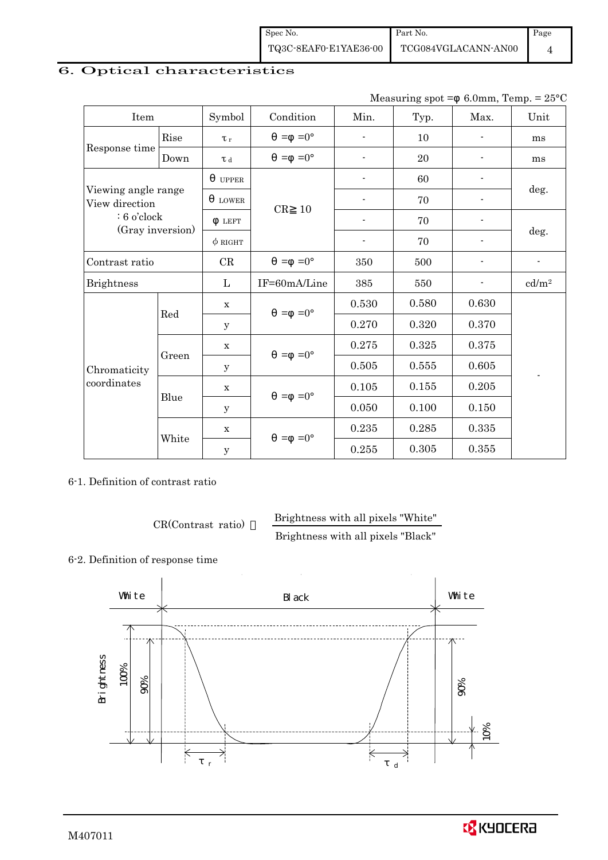| Spec No.              | Part No.            | Page |
|-----------------------|---------------------|------|
| TQ3C-8EAF0-E1YAE36-00 | TCG084VGLACANN-AN00 |      |

## 6. Optical characteristics

Measuring spot =  $6.0$ mm, Temp. =  $25^{\circ}$ C

| Item                                  |       | Symbol       | Condition                         | Min.           | Typ.  | Max.           | Unit              |
|---------------------------------------|-------|--------------|-----------------------------------|----------------|-------|----------------|-------------------|
|                                       | Rise  | $\tau$ r     | $=0^{\circ}$<br>$=$               |                | 10    |                | ms                |
| Response time                         | Down  | T d          | $=0^{\circ}$<br>$\qquad \qquad =$ | $\blacksquare$ | 20    |                | ms                |
|                                       |       | <b>UPPER</b> |                                   |                | 60    |                |                   |
| Viewing angle range<br>View direction |       | <b>LOWER</b> | CR<br>10                          |                | 70    |                | deg.              |
| $: 6$ o'clock                         |       | <b>LEFT</b>  |                                   | $\blacksquare$ | 70    | $\overline{a}$ |                   |
| (Gray inversion)                      |       | $\phi$ right |                                   | $\blacksquare$ | 70    | ٠              | deg.              |
| Contrast ratio                        |       | CR           | $=0^{\circ}$<br>$=$               | 350            | 500   |                |                   |
| <b>Brightness</b>                     |       | L            | IF=60mA/Line                      | 385            | 550   |                | cd/m <sup>2</sup> |
|                                       |       | $\mathbf X$  | $=$ =0 $^{\circ}$                 | 0.530          | 0.580 | 0.630          |                   |
|                                       | Red   | y            |                                   | 0.270          | 0.320 | 0.370          |                   |
|                                       |       | $\mathbf x$  | $=0^{\circ}$<br>$=$               | 0.275          | 0.325 | 0.375          |                   |
| Chromaticity                          | Green | $\mathbf{y}$ |                                   | 0.505          | 0.555 | 0.605          |                   |
| coordinates                           |       | $\mathbf X$  | $=0^{\circ}$<br>$=$               | 0.105          | 0.155 | 0.205          |                   |
|                                       | Blue  | y            |                                   | 0.050          | 0.100 | 0.150          |                   |
|                                       | White | $\mathbf X$  | $=0^{\circ}$<br>$=$               | 0.235          | 0.285 | 0.335          |                   |
|                                       |       | $\mathbf{y}$ |                                   | 0.255          | 0.305 | 0.355          |                   |

6-1. Definition of contrast ratio

CR(Contrast ratio) Brightness with all pixels "White"

Brightness with all pixels "Black"

#### 6-2. Definition of response time



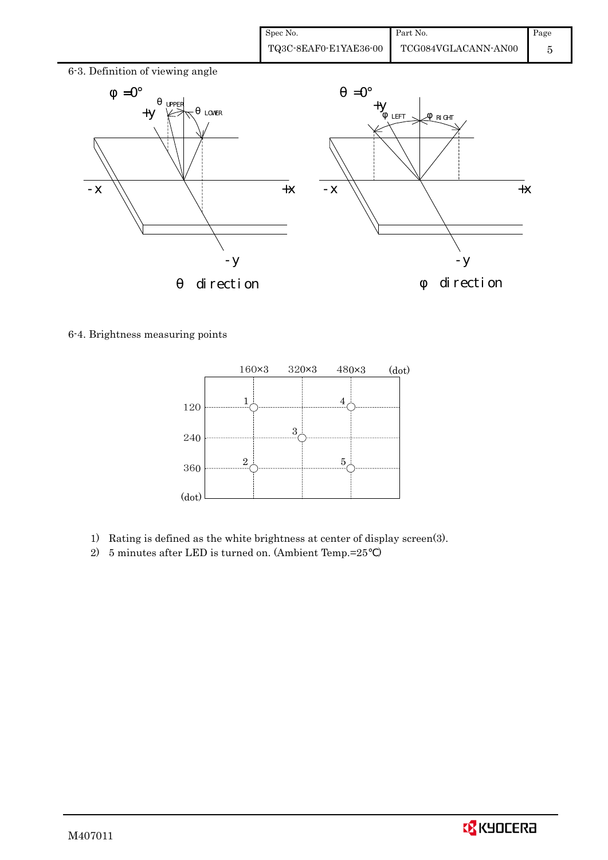| Spec No.              | Part No.            | Page |
|-----------------------|---------------------|------|
| TQ3C-8EAF0-E1YAE36-00 | TCG084VGLACANN-AN00 |      |



6-4. Brightness measuring points



- 1) Rating is defined as the white brightness at center of display screen(3).
- 2) 5 minutes after LED is turned on. (Ambient Temp.=25 )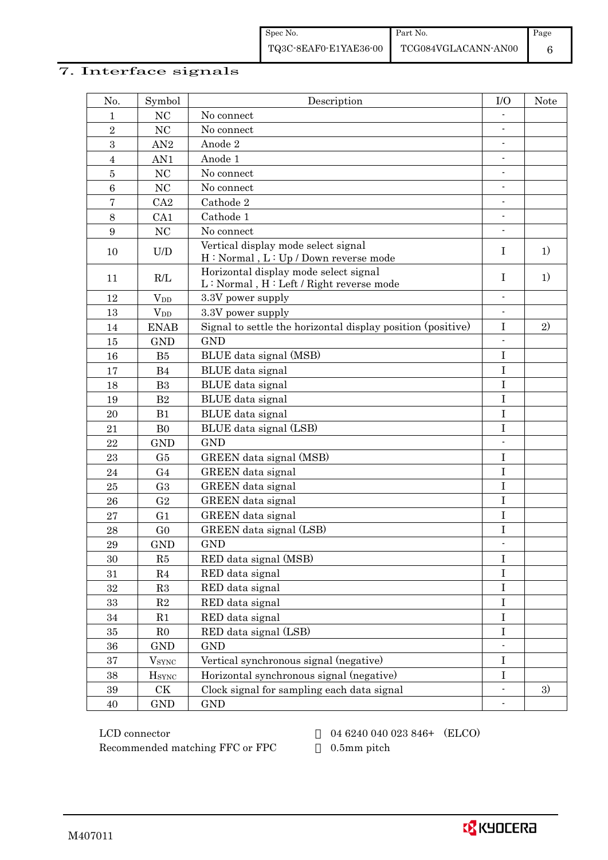## 7. Interface signals

| No.             | Symbol                                                   | Description                                                                      | I/O                      | <b>Note</b> |
|-----------------|----------------------------------------------------------|----------------------------------------------------------------------------------|--------------------------|-------------|
| 1               | NC                                                       | No connect                                                                       |                          |             |
| $\overline{2}$  | NC                                                       | No connect                                                                       |                          |             |
| 3               | AN2                                                      | Anode 2                                                                          | $\overline{\phantom{a}}$ |             |
| $\overline{4}$  | AN1                                                      | Anode 1                                                                          |                          |             |
| $\bf 5$         | NC                                                       | No connect                                                                       |                          |             |
| $6\phantom{1}6$ | NC                                                       | No connect                                                                       | $\overline{\phantom{0}}$ |             |
| $\bf 7$         | CA2                                                      | Cathode 2                                                                        | $\frac{1}{2}$            |             |
| 8               | CA1                                                      | Cathode 1                                                                        | $\overline{a}$           |             |
| 9               | NC                                                       | No connect                                                                       |                          |             |
| 10              | $\ensuremath{\mathrm{U}}\xspace/\ensuremath{\mathrm{D}}$ | Vertical display mode select signal<br>H: Normal, L: Up / Down reverse mode      | $\bf{I}$                 | 1)          |
| 11              | R/L                                                      | Horizontal display mode select signal<br>L: Normal, H: Left / Right reverse mode | $\mathbf I$              | 1)          |
| 12              | <b>V</b> <sub>DD</sub>                                   | 3.3V power supply                                                                | $\overline{\phantom{0}}$ |             |
| 13              | $V_{DD}$                                                 | 3.3V power supply                                                                |                          |             |
| 14              | <b>ENAB</b>                                              | Signal to settle the horizontal display position (positive)                      | $\rm I$                  | 2)          |
| 15              | <b>GND</b>                                               | <b>GND</b>                                                                       |                          |             |
| 16              | B5                                                       | BLUE data signal (MSB)                                                           | $\mathbf I$              |             |
| 17              | B <sub>4</sub>                                           | BLUE data signal                                                                 | $\rm I$                  |             |
| 18              | B3                                                       | BLUE data signal                                                                 | I                        |             |
| 19              | B2                                                       | BLUE data signal                                                                 | $\rm I$                  |             |
| 20              | B1                                                       | BLUE data signal                                                                 | I                        |             |
| 21              | B <sub>0</sub>                                           | BLUE data signal (LSB)                                                           | $\rm I$                  |             |
| 22              | <b>GND</b>                                               | <b>GND</b>                                                                       |                          |             |
| 23              | G <sub>5</sub>                                           | GREEN data signal (MSB)                                                          | $\rm I$                  |             |
| 24              | G <sub>4</sub>                                           | GREEN data signal                                                                | $\rm I$                  |             |
| 25              | G <sub>3</sub>                                           | GREEN data signal                                                                | $\rm I$                  |             |
| 26              | G <sub>2</sub>                                           | GREEN data signal                                                                | $\mathbf I$              |             |
| 27              | G <sub>1</sub>                                           | GREEN data signal                                                                | $\mathbf I$              |             |
| 28              | G <sub>0</sub>                                           | GREEN data signal (LSB)                                                          | $\rm I$                  |             |
| 29              | <b>GND</b>                                               | <b>GND</b>                                                                       |                          |             |
| 30              | R5                                                       | RED data signal (MSB)                                                            | $\rm I$                  |             |
| 31              | R <sub>4</sub>                                           | RED data signal                                                                  | $\rm I$                  |             |
| $32\,$          | R3                                                       | RED data signal                                                                  | $\bf I$                  |             |
| 33              | $\mathbf{R}2$                                            | RED data signal                                                                  | $\rm I$                  |             |
| 34              | R1                                                       | RED data signal                                                                  | $\rm I$                  |             |
| 35              | R <sub>0</sub>                                           | RED data signal (LSB)                                                            | I                        |             |
| 36              | $\mathop{\mathrm{GND}}$                                  | <b>GND</b>                                                                       |                          |             |
| 37              | <b>V</b> <sub>SYNC</sub>                                 | Vertical synchronous signal (negative)                                           | $\rm I$                  |             |
| 38              | <b>H</b> <sub>SYNC</sub>                                 | Horizontal synchronous signal (negative)                                         | $\rm I$                  |             |
| $39\,$          | $\mathrm{C}\mathrm{K}$                                   | Clock signal for sampling each data signal                                       | $\overline{a}$           | 3)          |
| 40              | $\mathop{\rm GND}$                                       | <b>GND</b>                                                                       |                          |             |

 LCD connector 04 6240 040 023 846+ (ELCO) Recommended matching FFC or FPC 0.5mm pitch

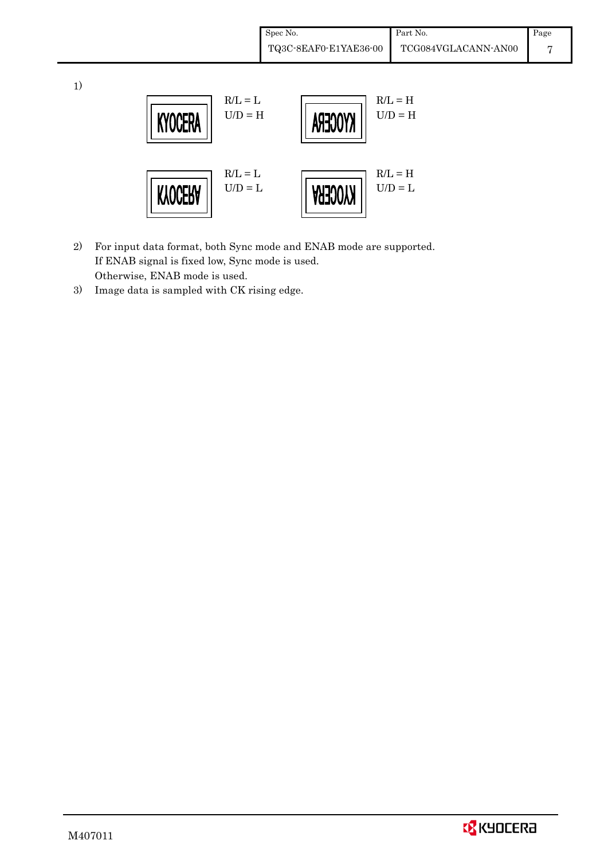|    |                                          | Spec No. | TQ3C-8EAF0-E1YAE36-00 | Part No.<br>TCG084VGLACANN-AN00 | Page<br>7 |
|----|------------------------------------------|----------|-----------------------|---------------------------------|-----------|
| 1) | $R/L = L$<br>$U/D = H$<br><b>KYOCERA</b> |          | KYOCERA               | $R/L = H$<br>$U/D = H$          |           |
|    | $R/L = L$<br>$U/D = L$<br><b>KYOCERA</b> |          | KNOCERA               | $R/L = H$<br>$U/D = L$          |           |

- 2) For input data format, both Sync mode and ENAB mode are supported. If ENAB signal is fixed low, Sync mode is used. Otherwise, ENAB mode is used.
- 3) Image data is sampled with CK rising edge.

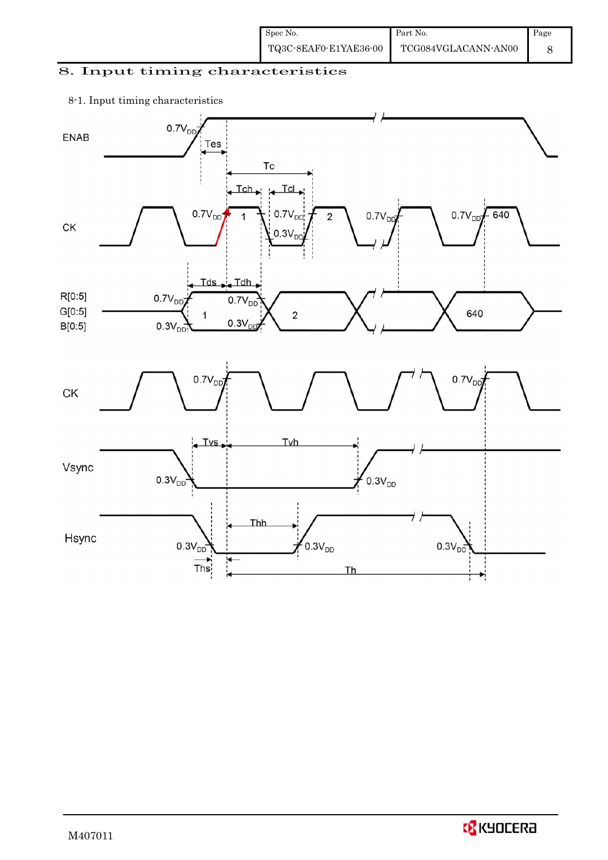| Spec No.              | Part No.            | Page |
|-----------------------|---------------------|------|
| TQ3C-8EAF0-E1YAE36-00 | TCG084VGLACANN-AN00 |      |

## 8. Input timing characteristics

## 8-1. Input timing characteristics

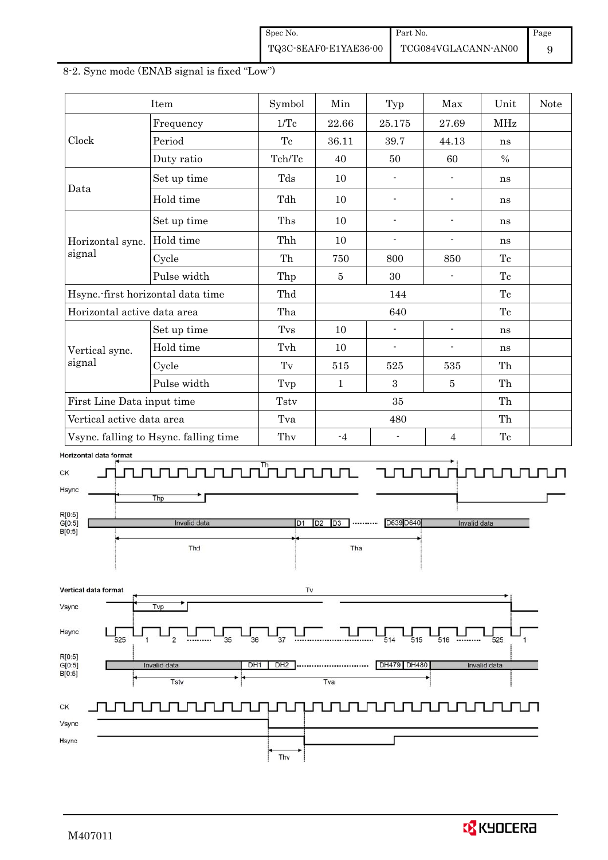| Spec No.              | Part No.            | Page |
|-----------------------|---------------------|------|
| TQ3C-8EAF0-E1YAE36-00 | TCG084VGLACANN-AN00 |      |



#### 8-2. Sync mode (ENAB signal is fixed "Low")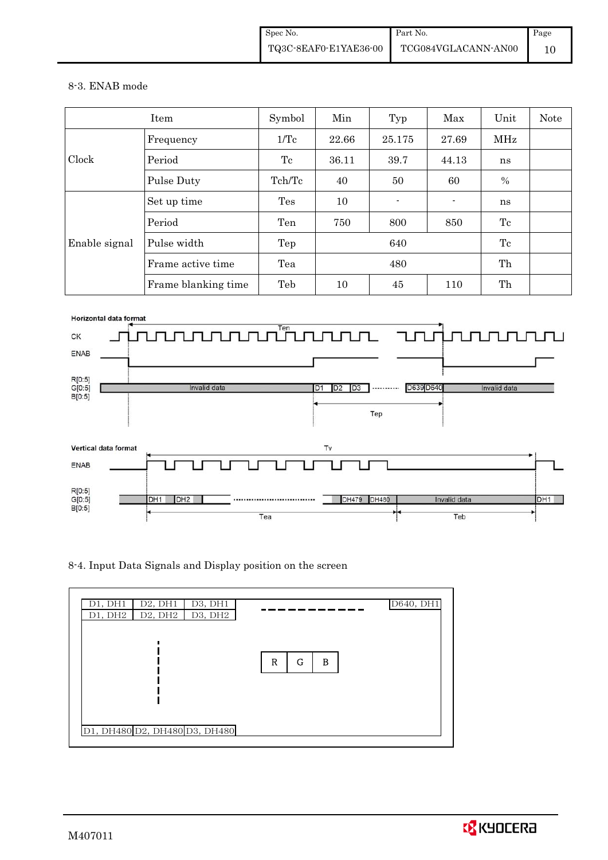#### 8-3. ENAB mode

|               | Item                | Symbol | Min   | Typ    | Max   | Unit | <b>Note</b> |
|---------------|---------------------|--------|-------|--------|-------|------|-------------|
|               | Frequency           | 1/Tc   | 22.66 | 25.175 | 27.69 | MHz  |             |
| Clock         | Period              | Тc     | 36.11 | 39.7   | 44.13 | ns   |             |
|               | Pulse Duty          | Tch/Tc | 40    | 50     | 60    | $\%$ |             |
|               | Set up time         | Tes    | 10    |        |       | ns   |             |
|               | Period              | Ten    | 750   | 800    | 850   | Tc   |             |
| Enable signal | Pulse width         | Tep    | 640   |        |       | Tc   |             |
|               | Frame active time   | Tea    |       | 480    |       | Th   |             |
|               | Frame blanking time | Teb    | 10    | 45     | 110   | Th   |             |



8-4. Input Data Signals and Display position on the screen



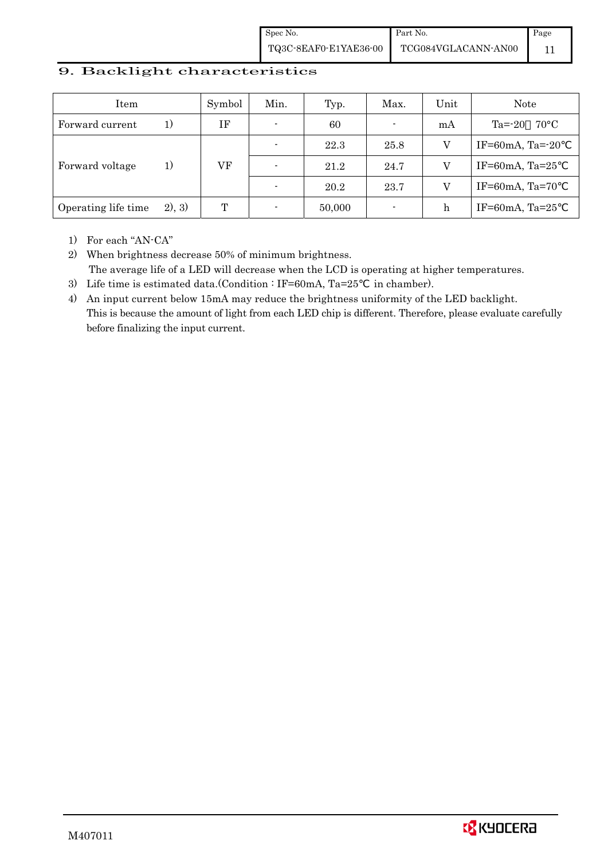Spec No. TQ3C-8EAF0-E1YAE36-00 Part No. TCG084VGLACANN-AN00 Page 11

#### 9. Backlight characteristics

| Item                |         | Symbol | Min.                     | Typ.   | Max.                     | Unit | Note                     |
|---------------------|---------|--------|--------------------------|--------|--------------------------|------|--------------------------|
| Forward current     | 1)      | IF     | $\blacksquare$           | 60     | ٠                        | mA   | Ta=-20<br>$70^{\circ}$ C |
|                     |         |        |                          | 22.3   | 25.8                     | V    | IF=60mA, Ta= $-20$       |
| Forward voltage     | 1)      | VF     | $\overline{\phantom{0}}$ | 21.2   | 24.7                     | V    | IF=60mA, Ta= $25$        |
|                     |         |        |                          | 20.2   | 23.7                     | V    | IF=60mA, Ta=70           |
| Operating life time | (2), 3) | T      | $\overline{\phantom{0}}$ | 50,000 | $\overline{\phantom{a}}$ | h    | IF=60mA, Ta= $25$        |

1) For each "AN-CA"

2) When brightness decrease 50% of minimum brightness. The average life of a LED will decrease when the LCD is operating at higher temperatures.

- 3) Life time is estimated data.(Condition : IF=60mA, Ta=25 in chamber).
- 4) An input current below 15mA may reduce the brightness uniformity of the LED backlight. This is because the amount of light from each LED chip is different. Therefore, please evaluate carefully before finalizing the input current.

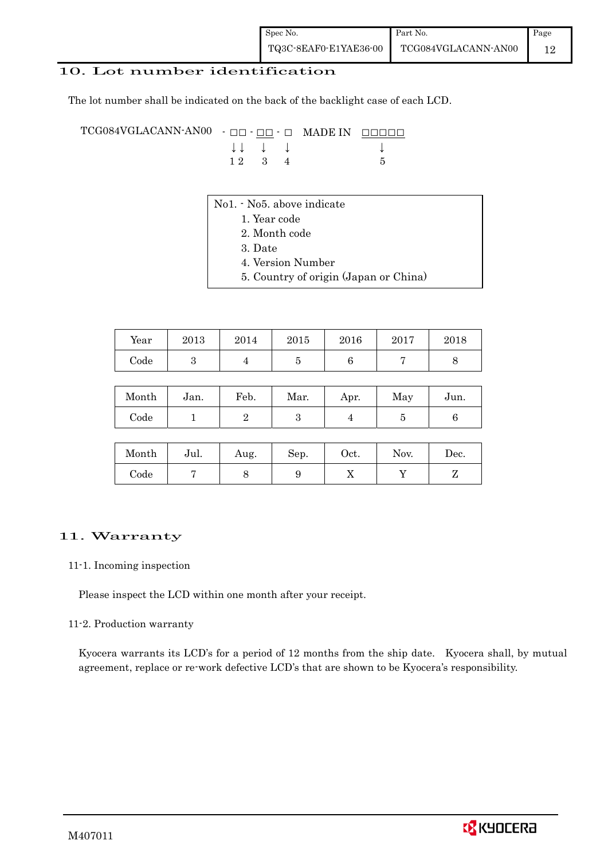#### 10. Lot number identification

The lot number shall be indicated on the back of the backlight case of each LCD.

TCG084VGLACANN-AN00 - □□ - □□ - □ MADE IN □□□□□ ↓ ↓ ↓ ↓ ↓  $12 \quad 3 \quad 4$  5

- No1. No5. above indicate
	- 1. Year code
		- 2. Month code
		- 3. Date
		- 4. Version Number
		- 5. Country of origin (Japan or China)

| Year       | 2013 | 2014 | 2015 | 2016 | 2017 | 2018 |
|------------|------|------|------|------|------|------|
| $\rm Code$ |      |      |      |      |      |      |

| Month | Jan. | Feb. | Mar. | Apr. | May | Jun. |
|-------|------|------|------|------|-----|------|
| Code  |      |      |      |      |     |      |

| Month      | Jul. | Aug. | Sep. | Oct. | Nov. | $\operatorname{Dec.}$ |
|------------|------|------|------|------|------|-----------------------|
| $\rm Code$ |      |      |      | ∡⊾   |      |                       |

#### 11. Warranty

#### 11-1. Incoming inspection

Please inspect the LCD within one month after your receipt.

#### 11-2. Production warranty

 Kyocera warrants its LCD's for a period of 12 months from the ship date. Kyocera shall, by mutual agreement, replace or re-work defective LCD's that are shown to be Kyocera's responsibility.

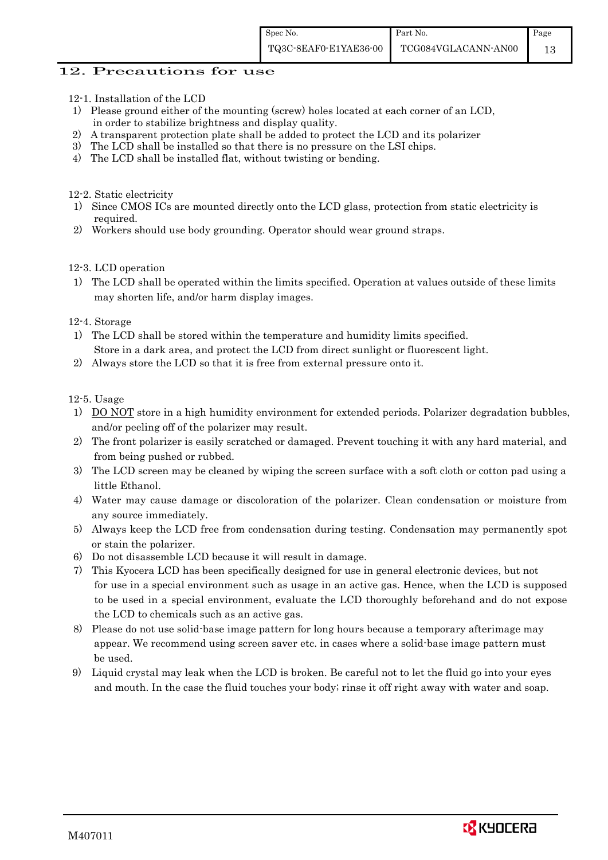#### 12. Precautions for use

- 12-1. Installation of the LCD
- 1) Please ground either of the mounting (screw) holes located at each corner of an LCD, in order to stabilize brightness and display quality.
- 2) A transparent protection plate shall be added to protect the LCD and its polarizer
- 3) The LCD shall be installed so that there is no pressure on the LSI chips.
- 4) The LCD shall be installed flat, without twisting or bending.

12-2. Static electricity

- 1) Since CMOS ICs are mounted directly onto the LCD glass, protection from static electricity is required.
- 2) Workers should use body grounding. Operator should wear ground straps.

12-3. LCD operation

1) The LCD shall be operated within the limits specified. Operation at values outside of these limits may shorten life, and/or harm display images.

12-4. Storage

- 1) The LCD shall be stored within the temperature and humidity limits specified. Store in a dark area, and protect the LCD from direct sunlight or fluorescent light.
- 2) Always store the LCD so that it is free from external pressure onto it.

12-5. Usage

- 1) DO NOT store in a high humidity environment for extended periods. Polarizer degradation bubbles, and/or peeling off of the polarizer may result.
- 2) The front polarizer is easily scratched or damaged. Prevent touching it with any hard material, and from being pushed or rubbed.
- 3) The LCD screen may be cleaned by wiping the screen surface with a soft cloth or cotton pad using a little Ethanol.
- 4) Water may cause damage or discoloration of the polarizer. Clean condensation or moisture from any source immediately.
- 5) Always keep the LCD free from condensation during testing. Condensation may permanently spot or stain the polarizer.
- 6) Do not disassemble LCD because it will result in damage.
- 7) This Kyocera LCD has been specifically designed for use in general electronic devices, but not for use in a special environment such as usage in an active gas. Hence, when the LCD is supposed to be used in a special environment, evaluate the LCD thoroughly beforehand and do not expose the LCD to chemicals such as an active gas.
- 8) Please do not use solid-base image pattern for long hours because a temporary afterimage may appear. We recommend using screen saver etc. in cases where a solid-base image pattern must be used.
- 9) Liquid crystal may leak when the LCD is broken. Be careful not to let the fluid go into your eyes and mouth. In the case the fluid touches your body; rinse it off right away with water and soap.

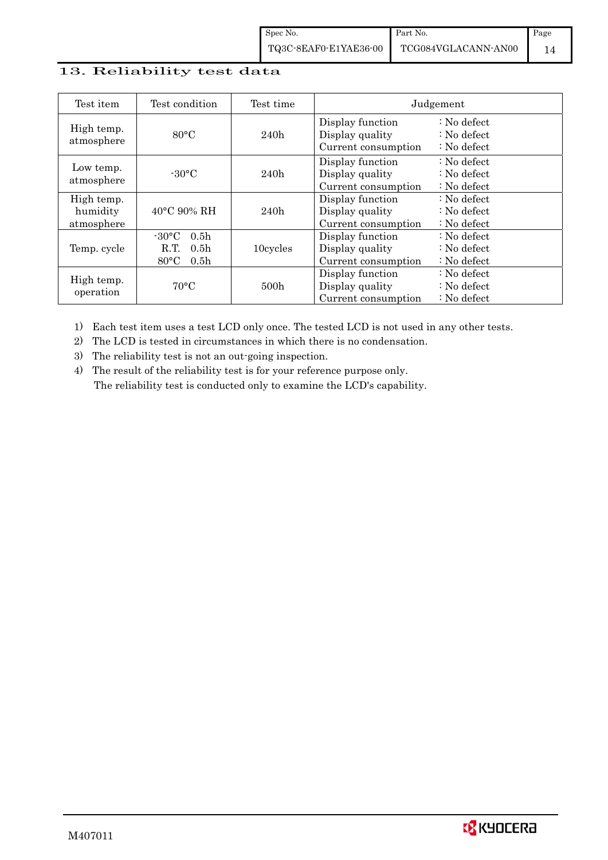## 13. Reliability test data

| Test item                            | Test condition                                                                                        | Test time |                                                            | Judgement                                                                  |
|--------------------------------------|-------------------------------------------------------------------------------------------------------|-----------|------------------------------------------------------------|----------------------------------------------------------------------------|
| High temp.<br>atmosphere             | $80^{\circ}$ C                                                                                        | 240h      | Display function<br>Display quality<br>Current consumption | $\therefore$ No defect<br>$\therefore$ No defect<br>$\therefore$ No defect |
| Low temp.<br>atmosphere              | $-30$ °C                                                                                              | 240h      | Display function<br>Display quality<br>Current consumption | $\therefore$ No defect<br>: No defect<br>$\therefore$ No defect            |
| High temp.<br>humidity<br>atmosphere | $40^{\circ}$ C 90% RH                                                                                 | 240h      | Display function<br>Display quality<br>Current consumption | : No defect<br>$\therefore$ No defect<br>$\therefore$ No defect            |
| Temp. cycle                          | $-30^{\circ}$ C<br>0.5 <sub>h</sub><br>0.5 <sub>h</sub><br>R.T.<br>$80^{\circ}$ C<br>0.5 <sub>h</sub> | 10cycles  | Display function<br>Display quality<br>Current consumption | $\therefore$ No defect<br>$\therefore$ No defect<br>$\therefore$ No defect |
| High temp.<br>operation              | $70^{\circ}$ C                                                                                        | 500h      | Display function<br>Display quality<br>Current consumption | : No defect<br>$\therefore$ No defect<br>$\therefore$ No defect            |

1) Each test item uses a test LCD only once. The tested LCD is not used in any other tests.

2) The LCD is tested in circumstances in which there is no condensation.

3) The reliability test is not an out-going inspection.

4) The result of the reliability test is for your reference purpose only. The reliability test is conducted only to examine the LCD's capability.

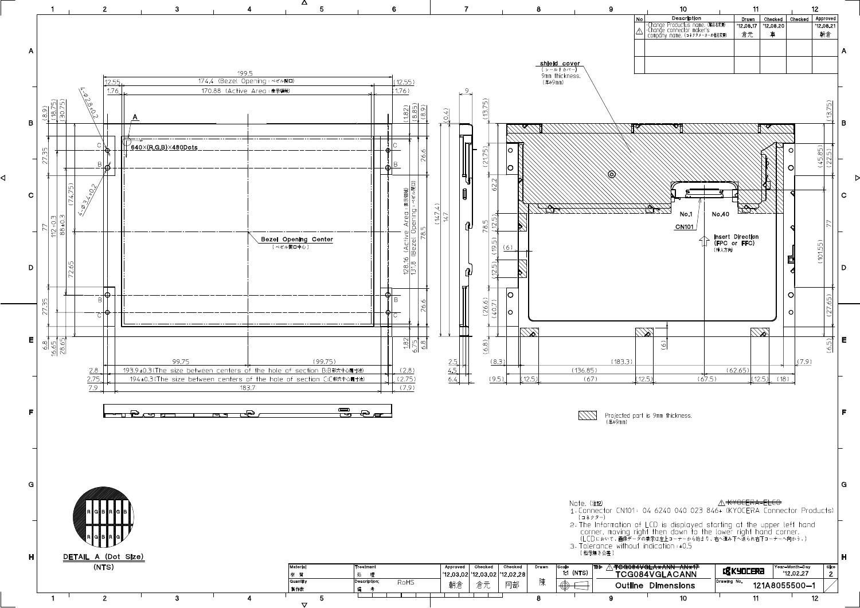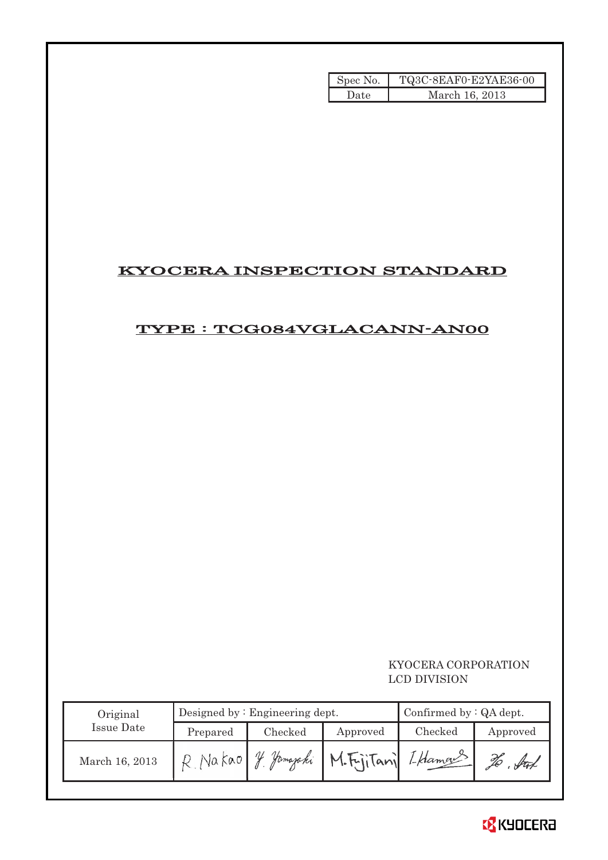| Spec No. | TQ3C-8EAF0-E2YAE36-00 |
|----------|-----------------------|
| Date     | March 16, 2013        |

## KYOCERA INSPECTION STANDARD

## TYPE : TCG084VGLACANN-AN00

### KYOCERA CORPORATION LCD DIVISION

| Original       |          | Designed by $:$ Engineering dept. | Confirmed by $:QA$ dept. |         |          |
|----------------|----------|-----------------------------------|--------------------------|---------|----------|
| Issue Date     | Prepared | Checked                           | Approved                 | Checked | Approved |
| March 16, 2013 | Na kao   | Homajaki                          | M.Fritani LHamans        |         |          |

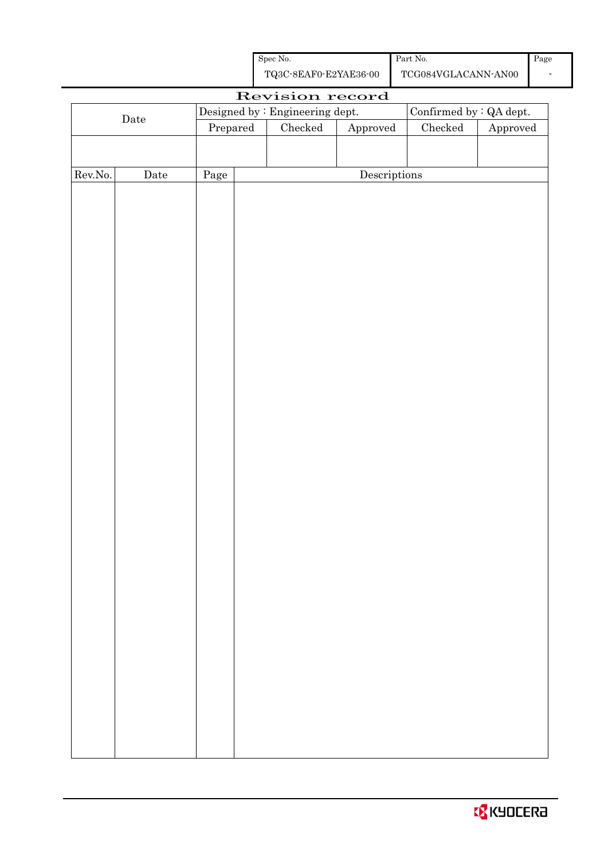| Spec No.              | Part No.            |
|-----------------------|---------------------|
| TQ3C-8EAF0-E2YAE36-00 | TCG084VGLACANN-AN00 |

Page -

| Revision record |             |          |                                                                   |               |              |                 |                        |  |
|-----------------|-------------|----------|-------------------------------------------------------------------|---------------|--------------|-----------------|------------------------|--|
|                 |             |          | Designed by : Engineering dept.<br>Confirmed by $\colon$ QA dept. |               |              |                 |                        |  |
|                 | $\rm{Date}$ | Prepared |                                                                   | $\rm Checked$ | Approved     | ${\it Checked}$ | ${\Large\bf Approved}$ |  |
|                 |             |          |                                                                   |               |              |                 |                        |  |
|                 |             |          |                                                                   |               |              |                 |                        |  |
| Rev.No.         | $\rm{Date}$ | Page     |                                                                   |               | Descriptions |                 |                        |  |
|                 |             |          |                                                                   |               |              |                 |                        |  |
|                 |             |          |                                                                   |               |              |                 |                        |  |
|                 |             |          |                                                                   |               |              |                 |                        |  |
|                 |             |          |                                                                   |               |              |                 |                        |  |
|                 |             |          |                                                                   |               |              |                 |                        |  |
|                 |             |          |                                                                   |               |              |                 |                        |  |
|                 |             |          |                                                                   |               |              |                 |                        |  |
|                 |             |          |                                                                   |               |              |                 |                        |  |
|                 |             |          |                                                                   |               |              |                 |                        |  |
|                 |             |          |                                                                   |               |              |                 |                        |  |
|                 |             |          |                                                                   |               |              |                 |                        |  |
|                 |             |          |                                                                   |               |              |                 |                        |  |
|                 |             |          |                                                                   |               |              |                 |                        |  |
|                 |             |          |                                                                   |               |              |                 |                        |  |
|                 |             |          |                                                                   |               |              |                 |                        |  |
|                 |             |          |                                                                   |               |              |                 |                        |  |
|                 |             |          |                                                                   |               |              |                 |                        |  |
|                 |             |          |                                                                   |               |              |                 |                        |  |
|                 |             |          |                                                                   |               |              |                 |                        |  |
|                 |             |          |                                                                   |               |              |                 |                        |  |
|                 |             |          |                                                                   |               |              |                 |                        |  |
|                 |             |          |                                                                   |               |              |                 |                        |  |
|                 |             |          |                                                                   |               |              |                 |                        |  |
|                 |             |          |                                                                   |               |              |                 |                        |  |
|                 |             |          |                                                                   |               |              |                 |                        |  |
|                 |             |          |                                                                   |               |              |                 |                        |  |
|                 |             |          |                                                                   |               |              |                 |                        |  |
|                 |             |          |                                                                   |               |              |                 |                        |  |
|                 |             |          |                                                                   |               |              |                 |                        |  |
|                 |             |          |                                                                   |               |              |                 |                        |  |
|                 |             |          |                                                                   |               |              |                 |                        |  |
|                 |             |          |                                                                   |               |              |                 |                        |  |
|                 |             |          |                                                                   |               |              |                 |                        |  |
|                 |             |          |                                                                   |               |              |                 |                        |  |
|                 |             |          |                                                                   |               |              |                 |                        |  |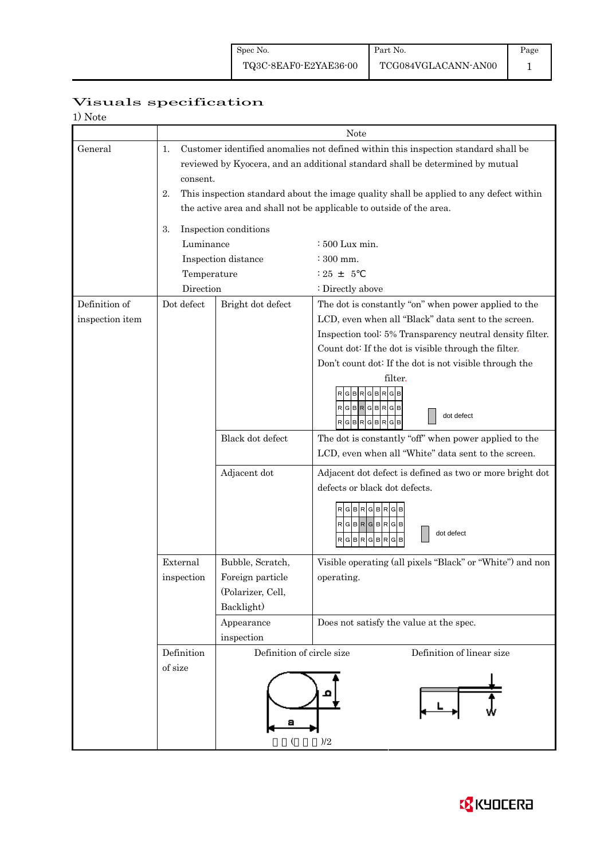## Page 1

## Visuals specification

| 1) Note |  |
|---------|--|
|---------|--|

|                 | Note           |                                                                                                                                                                     |                                                                                                              |  |  |  |  |  |  |
|-----------------|----------------|---------------------------------------------------------------------------------------------------------------------------------------------------------------------|--------------------------------------------------------------------------------------------------------------|--|--|--|--|--|--|
| General         | 1.<br>consent. | Customer identified anomalies not defined within this inspection standard shall be<br>reviewed by Kyocera, and an additional standard shall be determined by mutual |                                                                                                              |  |  |  |  |  |  |
|                 | 2.             | This inspection standard about the image quality shall be applied to any defect within<br>the active area and shall not be applicable to outside of the area.       |                                                                                                              |  |  |  |  |  |  |
|                 |                | Inspection conditions                                                                                                                                               |                                                                                                              |  |  |  |  |  |  |
|                 | 3.             |                                                                                                                                                                     |                                                                                                              |  |  |  |  |  |  |
|                 | Luminance      | : 500 Lux min.                                                                                                                                                      |                                                                                                              |  |  |  |  |  |  |
|                 |                | Inspection distance                                                                                                                                                 | $\div$ 300 mm.                                                                                               |  |  |  |  |  |  |
|                 | Temperature    |                                                                                                                                                                     | $: 25 + 5$                                                                                                   |  |  |  |  |  |  |
|                 | Direction      |                                                                                                                                                                     | : Directly above                                                                                             |  |  |  |  |  |  |
| Definition of   | Dot defect     | Bright dot defect                                                                                                                                                   | The dot is constantly "on" when power applied to the                                                         |  |  |  |  |  |  |
| inspection item |                |                                                                                                                                                                     | LCD, even when all "Black" data sent to the screen.                                                          |  |  |  |  |  |  |
|                 |                |                                                                                                                                                                     | Inspection tool: 5% Transparency neutral density filter.                                                     |  |  |  |  |  |  |
|                 |                |                                                                                                                                                                     | Count dot: If the dot is visible through the filter.                                                         |  |  |  |  |  |  |
|                 |                |                                                                                                                                                                     | Don't count dot: If the dot is not visible through the                                                       |  |  |  |  |  |  |
|                 |                |                                                                                                                                                                     | filter.<br>GBRGBRG<br>RGBR<br>GIBI<br>R<br>dot defect<br>RGBRGBR<br>G B                                      |  |  |  |  |  |  |
|                 |                | Black dot defect                                                                                                                                                    | The dot is constantly "off" when power applied to the<br>LCD, even when all "White" data sent to the screen. |  |  |  |  |  |  |
|                 |                | Adjacent dot                                                                                                                                                        | Adjacent dot defect is defined as two or more bright dot                                                     |  |  |  |  |  |  |
|                 |                |                                                                                                                                                                     | defects or black dot defects.                                                                                |  |  |  |  |  |  |
|                 |                |                                                                                                                                                                     | RGBRGBR<br>$RGBRGBRGB$<br>dot defect<br><b>BR</b><br>G<br>G<br>R<br>B<br>R<br>G                              |  |  |  |  |  |  |
|                 | External       | Bubble, Scratch,                                                                                                                                                    | Visible operating (all pixels "Black" or "White") and non                                                    |  |  |  |  |  |  |
|                 | inspection     | Foreign particle                                                                                                                                                    | operating.                                                                                                   |  |  |  |  |  |  |
|                 |                | (Polarizer, Cell,                                                                                                                                                   |                                                                                                              |  |  |  |  |  |  |
|                 |                | Backlight)                                                                                                                                                          |                                                                                                              |  |  |  |  |  |  |
|                 |                | Appearance                                                                                                                                                          | Does not satisfy the value at the spec.                                                                      |  |  |  |  |  |  |
|                 |                | inspection                                                                                                                                                          |                                                                                                              |  |  |  |  |  |  |
|                 | Definition     | Definition of circle size                                                                                                                                           | Definition of linear size                                                                                    |  |  |  |  |  |  |
|                 | of size        |                                                                                                                                                                     | )/2                                                                                                          |  |  |  |  |  |  |